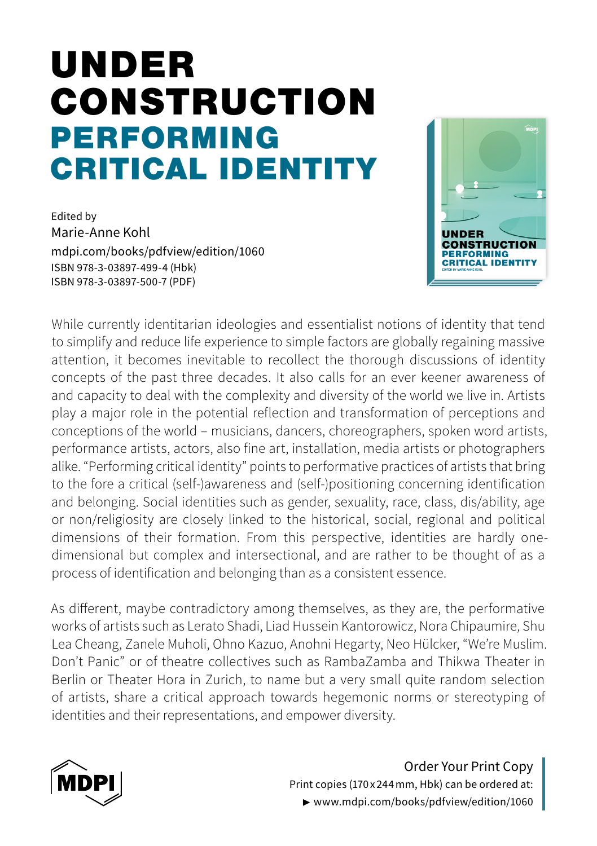# PERFORMING CRITICAL IDENTITY UNDER CONSTRUCTION

Edited by Marie-Anne Kohl mdpi.com/books/pdfview/edition/1060 ISBN 978-3-03897-499-4 (Hbk) ISBN 978-3-03897-500-7 (PDF)



While currently identitarian ideologies and essentialist notions of identity that tend to simplify and reduce life experience to simple factors are globally regaining massive attention, it becomes inevitable to recollect the thorough discussions of identity concepts of the past three decades. It also calls for an ever keener awareness of and capacity to deal with the complexity and diversity of the world we live in. Artists play a major role in the potential reflection and transformation of perceptions and conceptions of the world – musicians, dancers, choreographers, spoken word artists, performance artists, actors, also fine art, installation, media artists or photographers alike. "Performing critical identity" points to performative practices of artists that bring to the fore a critical (self-)awareness and (self-)positioning concerning identification and belonging. Social identities such as gender, sexuality, race, class, dis/ability, age or non/religiosity are closely linked to the historical, social, regional and political dimensions of their formation. From this perspective, identities are hardly onedimensional but complex and intersectional, and are rather to be thought of as a process of identification and belonging than as a consistent essence.

As different, maybe contradictory among themselves, as they are, the performative works of artists such as Lerato Shadi, Liad Hussein Kantorowicz, Nora Chipaumire, Shu Lea Cheang, Zanele Muholi, Ohno Kazuo, Anohni Hegarty, Neo Hülcker, "We're Muslim. Don't Panic" or of theatre collectives such as RambaZamba and Thikwa Theater in Berlin or Theater Hora in Zurich, to name but a very small quite random selection of artists, share a critical approach towards hegemonic norms or stereotyping of identities and their representations, and empower diversity.



Order Your Print Copy Print copies (170 x 244mm, Hbk) can be ordered at: ▶ www.mdpi.com/books/pdfview/edition/1060